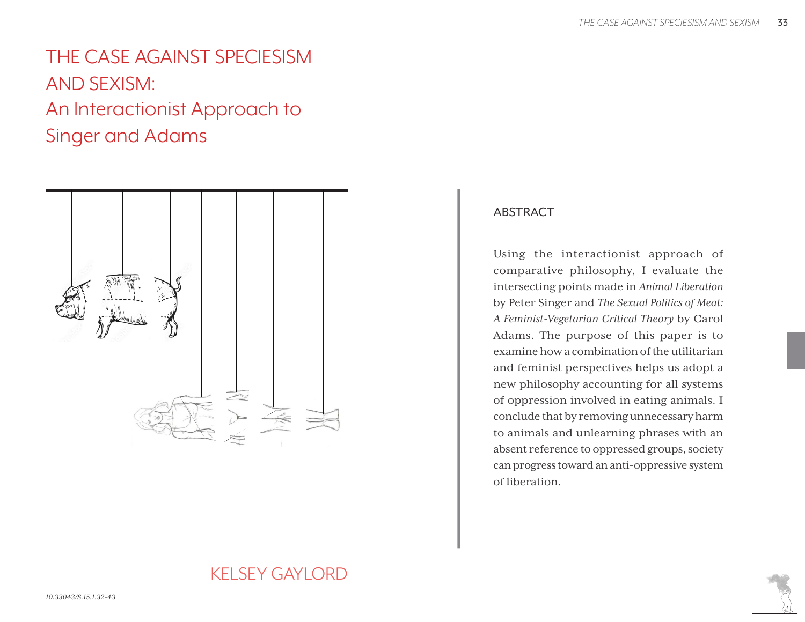# THE CASE AGAINST SPECIESISM AND SEXISM: An Interactionist Approach to Singer and Adams



# ABSTRACT

Using the interactionist approach of comparative philosophy, I evaluate the intersecting points made in *Animal Liberation* by Peter Singer and *The Sexual Politics of Meat: A Feminist-Vegetarian Critical Theory* by Carol Adams. The purpose of this paper is to examine how a combination of the utilitarian and feminist perspectives helps us adopt a new philosophy accounting for all systems of oppression involved in eating animals. I conclude that by removing unnecessary harm to animals and unlearning phrases with an absent reference to oppressed groups, society can progress toward an anti-oppressive system of liberation.

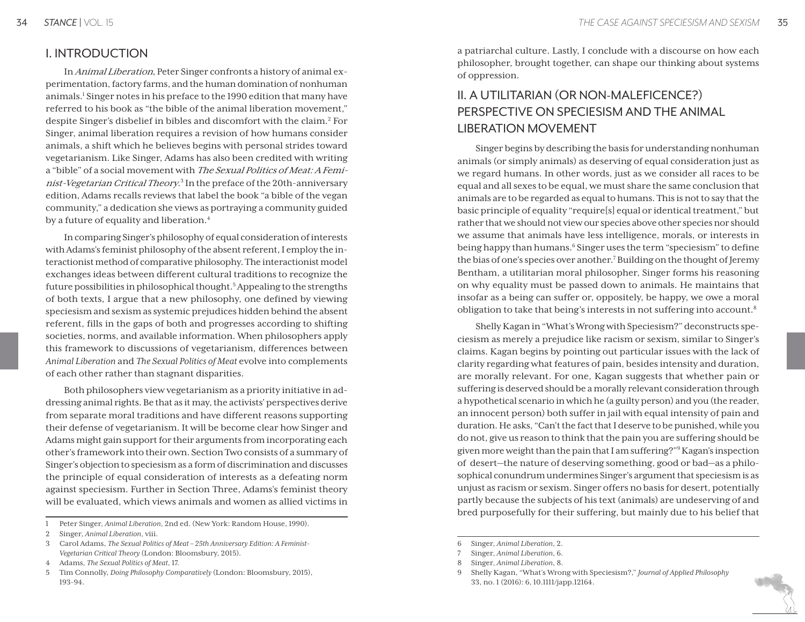## I. INTRODUCTION

In Animal Liberation, Peter Singer confronts a history of animal experimentation, factory farms, and the human domination of nonhuman animals.<sup>1</sup> Singer notes in his preface to the 1990 edition that many have referred to his book as "the bible of the animal liberation movement," despite Singer's disbelief in bibles and discomfort with the claim.<sup>2</sup> For Singer, animal liberation requires a revision of how humans consider animals, a shift which he believes begins with personal strides toward vegetarianism. Like Singer, Adams has also been credited with writing a "bible" of a social movement with The Sexual Politics of Meat: A Feminist-Vegetarian Critical Theory.<sup>3</sup> In the preface of the 20th-anniversary edition, Adams recalls reviews that label the book "a bible of the vegan community," a dedication she views as portraying a community guided by a future of equality and liberation.<sup>4</sup>

In comparing Singer's philosophy of equal consideration of interests with Adams's feminist philosophy of the absent referent, I employ the interactionist method of comparative philosophy. The interactionist model exchanges ideas between different cultural traditions to recognize the future possibilities in philosophical thought.<sup>5</sup> Appealing to the strengths of both texts, I argue that a new philosophy, one defined by viewing speciesism and sexism as systemic prejudices hidden behind the absent referent, fills in the gaps of both and progresses according to shifting societies, norms, and available information. When philosophers apply this framework to discussions of vegetarianism, differences between *Animal Liberation* and *The Sexual Politics of Meat* evolve into complements of each other rather than stagnant disparities.

Both philosophers view vegetarianism as a priority initiative in addressing animal rights. Be that as it may, the activists' perspectives derive from separate moral traditions and have different reasons supporting their defense of vegetarianism. It will be become clear how Singer and Adams might gain support for their arguments from incorporating each other's framework into their own. Section Two consists of a summary of Singer's objection to speciesism as a form of discrimination and discusses the principle of equal consideration of interests as a defeating norm against speciesism. Further in Section Three, Adams's feminist theory will be evaluated, which views animals and women as allied victims in

a patriarchal culture. Lastly, I conclude with a discourse on how each philosopher, brought together, can shape our thinking about systems of oppression.

# II. A UTILITARIAN (OR NON-MALEFICENCE?) PERSPECTIVE ON SPECIESISM AND THE ANIMAL LIBERATION MOVEMENT

Singer begins by describing the basis for understanding nonhuman animals (or simply animals) as deserving of equal consideration just as we regard humans. In other words, just as we consider all races to be equal and all sexes to be equal, we must share the same conclusion that animals are to be regarded as equal to humans. This is not to say that the basic principle of equality "require[s] equal or identical treatment," but rather that we should not view our species above other species nor should we assume that animals have less intelligence, morals, or interests in being happy than humans.<sup>6</sup> Singer uses the term "speciesism" to define the bias of one's species over another.<sup>7</sup> Building on the thought of Jeremy Bentham, a utilitarian moral philosopher, Singer forms his reasoning on why equality must be passed down to animals. He maintains that insofar as a being can suffer or, oppositely, be happy, we owe a moral obligation to take that being's interests in not suffering into account.8

Shelly Kagan in "What's Wrong with Speciesism?" deconstructs speciesism as merely a prejudice like racism or sexism, similar to Singer's claims. Kagan begins by pointing out particular issues with the lack of clarity regarding what features of pain, besides intensity and duration, are morally relevant. For one, Kagan suggests that whether pain or suffering is deserved should be a morally relevant consideration through a hypothetical scenario in which he (a guilty person) and you (the reader, an innocent person) both suffer in jail with equal intensity of pain and duration. He asks, "Can't the fact that I deserve to be punished, while you do not, give us reason to think that the pain you are suffering should be given more weight than the pain that I am suffering?"9 Kagan's inspection of desert—the nature of deserving something, good or bad—as a philosophical conundrum undermines Singer's argument that speciesism is as unjust as racism or sexism. Singer offers no basis for desert, potentially partly because the subjects of his text (animals) are undeserving of and bred purposefully for their suffering, but mainly due to his belief that

<sup>1</sup> Peter Singer, *Animal Liberation*, 2nd ed. (New York: Random House, 1990).

<sup>2</sup> Singer, *Animal Liberation*, viii.

<sup>3</sup> Carol Adams, *The Sexual Politics of Meat – 25th Anniversary Edition: A Feminist-Vegetarian Critical Theory* (London: Bloomsbury, 2015).

<sup>4</sup> Adams, *The Sexual Politics of Meat*, 17.

<sup>5</sup> Tim Connolly, *Doing Philosophy Comparatively* (London: Bloomsbury, 2015), 193-94.

<sup>6</sup> Singer, *Animal Liberation*, 2.

<sup>7</sup> Singer, *Animal Liberation*, 6.

<sup>8</sup> Singer, *Animal Liberation*, 8.

<sup>9</sup> Shelly Kagan, "What's Wrong with Speciesism?," *Journal of Applied Philosophy* 33, no. 1 (2016): 6, 10.1111/japp.12164.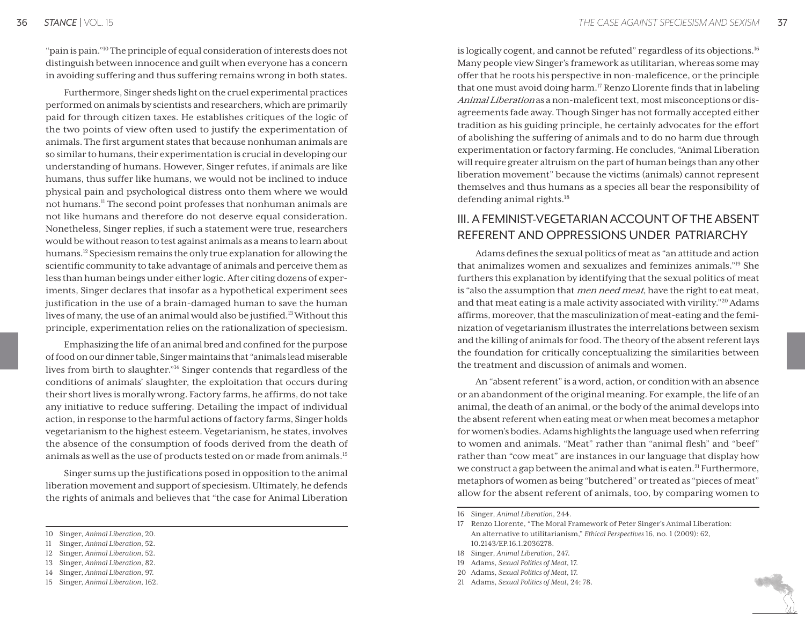"pain is pain."10 The principle of equal consideration of interests does not distinguish between innocence and guilt when everyone has a concern in avoiding suffering and thus suffering remains wrong in both states.

Furthermore, Singer sheds light on the cruel experimental practices performed on animals by scientists and researchers, which are primarily paid for through citizen taxes. He establishes critiques of the logic of the two points of view often used to justify the experimentation of animals. The first argument states that because nonhuman animals are so similar to humans, their experimentation is crucial in developing our understanding of humans. However, Singer refutes, if animals are like humans, thus suffer like humans, we would not be inclined to induce physical pain and psychological distress onto them where we would not humans.11 The second point professes that nonhuman animals are not like humans and therefore do not deserve equal consideration. Nonetheless, Singer replies, if such a statement were true, researchers would be without reason to test against animals as a means to learn about humans.12 Speciesism remains the only true explanation for allowing the scientific community to take advantage of animals and perceive them as less than human beings under either logic. After citing dozens of experiments, Singer declares that insofar as a hypothetical experiment sees justification in the use of a brain-damaged human to save the human lives of many, the use of an animal would also be justified.<sup>13</sup> Without this principle, experimentation relies on the rationalization of speciesism.

Emphasizing the life of an animal bred and confined for the purpose of food on our dinner table, Singer maintains that "animals lead miserable lives from birth to slaughter."14 Singer contends that regardless of the conditions of animals' slaughter, the exploitation that occurs during their short lives is morally wrong. Factory farms, he affirms, do not take any initiative to reduce suffering. Detailing the impact of individual action, in response to the harmful actions of factory farms, Singer holds vegetarianism to the highest esteem. Vegetarianism, he states, involves the absence of the consumption of foods derived from the death of animals as well as the use of products tested on or made from animals.15

Singer sums up the justifications posed in opposition to the animal liberation movement and support of speciesism. Ultimately, he defends the rights of animals and believes that "the case for Animal Liberation

is logically cogent, and cannot be refuted" regardless of its objections.<sup>16</sup> Many people view Singer's framework as utilitarian, whereas some may offer that he roots his perspective in non-maleficence, or the principle that one must avoid doing harm.<sup>17</sup> Renzo Llorente finds that in labeling Animal Liberation as a non-maleficent text, most misconceptions or disagreements fade away. Though Singer has not formally accepted either tradition as his guiding principle, he certainly advocates for the effort of abolishing the suffering of animals and to do no harm due through experimentation or factory farming. He concludes, "Animal Liberation will require greater altruism on the part of human beings than any other liberation movement" because the victims (animals) cannot represent themselves and thus humans as a species all bear the responsibility of defending animal rights.<sup>18</sup>

# III. A FEMINIST-VEGETARIAN ACCOUNT OF THE ABSENT REFERENT AND OPPRESSIONS UNDER PATRIARCHY

Adams defines the sexual politics of meat as "an attitude and action that animalizes women and sexualizes and feminizes animals."19 She furthers this explanation by identifying that the sexual politics of meat is "also the assumption that *men need meat*, have the right to eat meat, and that meat eating is a male activity associated with virility."20 Adams affirms, moreover, that the masculinization of meat-eating and the feminization of vegetarianism illustrates the interrelations between sexism and the killing of animals for food. The theory of the absent referent lays the foundation for critically conceptualizing the similarities between the treatment and discussion of animals and women.

An "absent referent" is a word, action, or condition with an absence or an abandonment of the original meaning. For example, the life of an animal, the death of an animal, or the body of the animal develops into the absent referent when eating meat or when meat becomes a metaphor for women's bodies. Adams highlights the language used when referring to women and animals. "Meat" rather than "animal flesh" and "beef" rather than "cow meat" are instances in our language that display how we construct a gap between the animal and what is eaten.<sup>21</sup> Furthermore, metaphors of women as being "butchered" or treated as "pieces of meat" allow for the absent referent of animals, too, by comparing women to

18 Singer, *Animal Liberation*, 247.

- 20 Adams, *Sexual Politics of Meat*, 17.
- 21 Adams, *Sexual Politics of Meat*, 24; 78.

<sup>10</sup> Singer, *Animal Liberation*, 20.

<sup>11</sup> Singer, *Animal Liberation*, 52.

<sup>12</sup> Singer, *Animal Liberation*, 52.

<sup>13</sup> Singer, *Animal Liberation*, 82.

<sup>14</sup> Singer, *Animal Liberation*, 97.

<sup>15</sup> Singer, *Animal Liberation*, 162.

<sup>16</sup> Singer, *Animal Liberation*, 244.

<sup>17</sup> Renzo Llorente, "The Moral Framework of Peter Singer's Animal Liberation: An alternative to utilitarianism," *Ethical Perspectives* 16, no. 1 (2009): 62, 10.2143/EP.16.1.2036278.

<sup>19</sup> Adams, *Sexual Politics of Meat*, 17.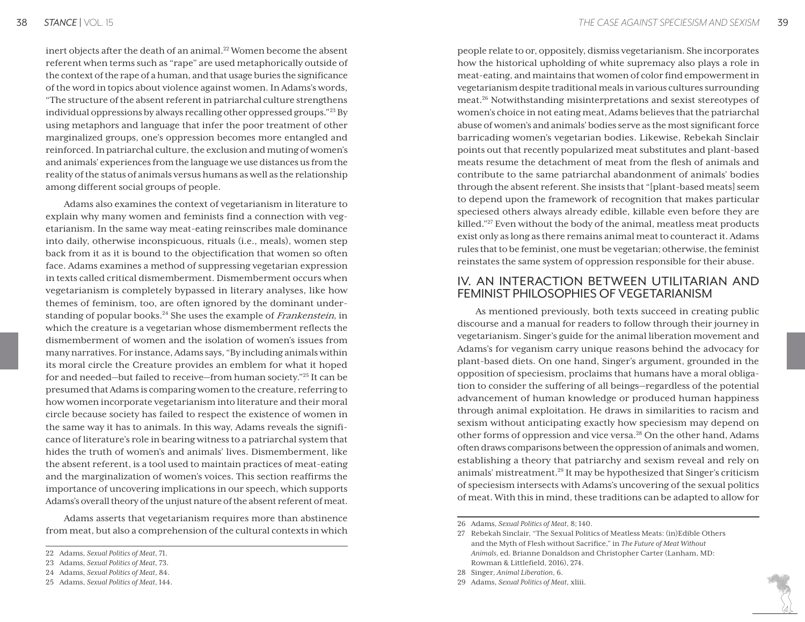inert objects after the death of an animal.<sup>22</sup> Women become the absent referent when terms such as "rape" are used metaphorically outside of the context of the rape of a human, and that usage buries the significance of the word in topics about violence against women. In Adams's words, "The structure of the absent referent in patriarchal culture strengthens individual oppressions by always recalling other oppressed groups."23 By using metaphors and language that infer the poor treatment of other marginalized groups, one's oppression becomes more entangled and reinforced. In patriarchal culture, the exclusion and muting of women's and animals' experiences from the language we use distances us from the reality of the status of animals versus humans as well as the relationship among different social groups of people.

Adams also examines the context of vegetarianism in literature to explain why many women and feminists find a connection with vegetarianism. In the same way meat-eating reinscribes male dominance into daily, otherwise inconspicuous, rituals (i.e., meals), women step back from it as it is bound to the objectification that women so often face. Adams examines a method of suppressing vegetarian expression in texts called critical dismemberment. Dismemberment occurs when vegetarianism is completely bypassed in literary analyses, like how themes of feminism, too, are often ignored by the dominant understanding of popular books.<sup>24</sup> She uses the example of *Frankenstein*, in which the creature is a vegetarian whose dismemberment reflects the dismemberment of women and the isolation of women's issues from many narratives. For instance, Adams says, "By including animals within its moral circle the Creature provides an emblem for what it hoped for and needed—but failed to receive—from human society."25 It can be presumed that Adams is comparing women to the creature, referring to how women incorporate vegetarianism into literature and their moral circle because society has failed to respect the existence of women in the same way it has to animals. In this way, Adams reveals the significance of literature's role in bearing witness to a patriarchal system that hides the truth of women's and animals' lives. Dismemberment, like the absent referent, is a tool used to maintain practices of meat-eating and the marginalization of women's voices. This section reaffirms the importance of uncovering implications in our speech, which supports Adams's overall theory of the unjust nature of the absent referent of meat.

Adams asserts that vegetarianism requires more than abstinence from meat, but also a comprehension of the cultural contexts in which

people relate to or, oppositely, dismiss vegetarianism. She incorporates how the historical upholding of white supremacy also plays a role in meat-eating, and maintains that women of color find empowerment in vegetarianism despite traditional meals in various cultures surrounding meat.26 Notwithstanding misinterpretations and sexist stereotypes of women's choice in not eating meat, Adams believes that the patriarchal abuse of women's and animals' bodies serve as the most significant force barricading women's vegetarian bodies. Likewise, Rebekah Sinclair points out that recently popularized meat substitutes and plant-based meats resume the detachment of meat from the flesh of animals and contribute to the same patriarchal abandonment of animals' bodies through the absent referent. She insists that "[plant-based meats] seem to depend upon the framework of recognition that makes particular speciesed others always already edible, killable even before they are killed."<sup>27</sup> Even without the body of the animal, meatless meat products exist only as long as there remains animal meat to counteract it. Adams rules that to be feminist, one must be vegetarian; otherwise, the feminist reinstates the same system of oppression responsible for their abuse.

#### IV. AN INTERACTION BETWEEN UTILITARIAN AND FEMINIST PHILOSOPHIES OF VEGETARIANISM

As mentioned previously, both texts succeed in creating public discourse and a manual for readers to follow through their journey in vegetarianism. Singer's guide for the animal liberation movement and Adams's for veganism carry unique reasons behind the advocacy for plant-based diets. On one hand, Singer's argument, grounded in the opposition of speciesism, proclaims that humans have a moral obligation to consider the suffering of all beings—regardless of the potential advancement of human knowledge or produced human happiness through animal exploitation. He draws in similarities to racism and sexism without anticipating exactly how speciesism may depend on other forms of oppression and vice versa.28 On the other hand, Adams often draws comparisons between the oppression of animals and women, establishing a theory that patriarchy and sexism reveal and rely on animals' mistreatment.29 It may be hypothesized that Singer's criticism of speciesism intersects with Adams's uncovering of the sexual politics of meat. With this in mind, these traditions can be adapted to allow for

<sup>22</sup> Adams, *Sexual Politics of Meat*, 71.

<sup>23</sup> Adams, *Sexual Politics of Meat*, 73.

<sup>24</sup> Adams, *Sexual Politics of Meat*, 84.

<sup>25</sup> Adams, *Sexual Politics of Meat*, 144.

<sup>26</sup> Adams, *Sexual Politics of Meat*, 8; 140.

<sup>27</sup> Rebekah Sinclair, "The Sexual Politics of Meatless Meats: (in)Edible Others and the Myth of Flesh without Sacrifice," in *The Future of Meat Without Animals*, ed. Brianne Donaldson and Christopher Carter (Lanham, MD: Rowman & Littlefield, 2016), 274.

<sup>28</sup> Singer, *Animal Liberation*, 6.

<sup>29</sup> Adams, *Sexual Politics of Meat*, xliii.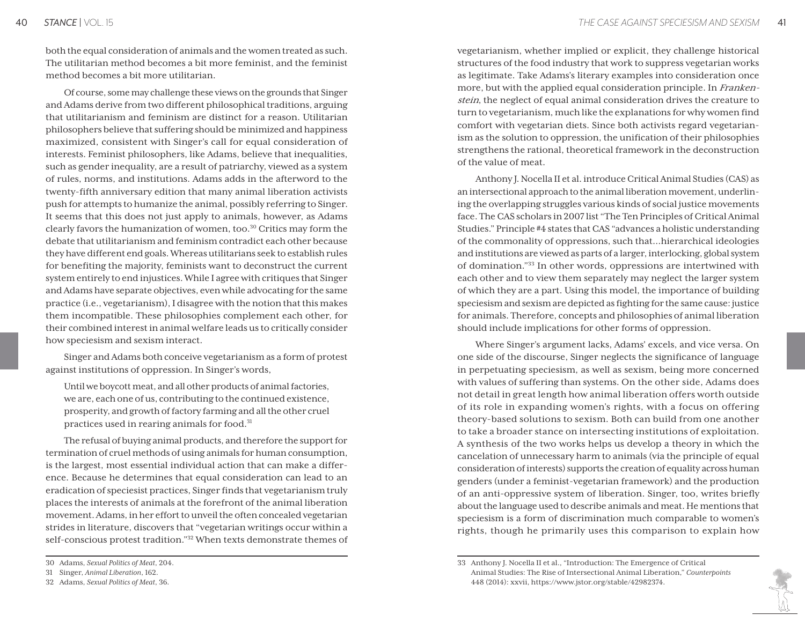both the equal consideration of animals and the women treated as such. The utilitarian method becomes a bit more feminist, and the feminist method becomes a bit more utilitarian.

Of course, some may challenge these views on the grounds that Singer and Adams derive from two different philosophical traditions, arguing that utilitarianism and feminism are distinct for a reason. Utilitarian philosophers believe that suffering should be minimized and happiness maximized, consistent with Singer's call for equal consideration of interests. Feminist philosophers, like Adams, believe that inequalities, such as gender inequality, are a result of patriarchy, viewed as a system of rules, norms, and institutions. Adams adds in the afterword to the twenty-fifth anniversary edition that many animal liberation activists push for attempts to humanize the animal, possibly referring to Singer. It seems that this does not just apply to animals, however, as Adams clearly favors the humanization of women, too.<sup>30</sup> Critics may form the debate that utilitarianism and feminism contradict each other because they have different end goals. Whereas utilitarians seek to establish rules for benefiting the majority, feminists want to deconstruct the current system entirely to end injustices. While I agree with critiques that Singer and Adams have separate objectives, even while advocating for the same practice (i.e., vegetarianism), I disagree with the notion that this makes them incompatible. These philosophies complement each other, for their combined interest in animal welfare leads us to critically consider how speciesism and sexism interact.

Singer and Adams both conceive vegetarianism as a form of protest against institutions of oppression. In Singer's words,

Until we boycott meat, and all other products of animal factories, we are, each one of us, contributing to the continued existence, prosperity, and growth of factory farming and all the other cruel practices used in rearing animals for food.<sup>31</sup>

The refusal of buying animal products, and therefore the support for termination of cruel methods of using animals for human consumption, is the largest, most essential individual action that can make a difference. Because he determines that equal consideration can lead to an eradication of speciesist practices, Singer finds that vegetarianism truly places the interests of animals at the forefront of the animal liberation movement. Adams, in her effort to unveil the often concealed vegetarian strides in literature, discovers that "vegetarian writings occur within a self-conscious protest tradition."32 When texts demonstrate themes of

vegetarianism, whether implied or explicit, they challenge historical structures of the food industry that work to suppress vegetarian works as legitimate. Take Adams's literary examples into consideration once more, but with the applied equal consideration principle. In Frankenstein, the neglect of equal animal consideration drives the creature to turn to vegetarianism, much like the explanations for why women find comfort with vegetarian diets. Since both activists regard vegetarianism as the solution to oppression, the unification of their philosophies strengthens the rational, theoretical framework in the deconstruction of the value of meat.

Anthony J. Nocella II et al. introduce Critical Animal Studies (CAS) as an intersectional approach to the animal liberation movement, underlining the overlapping struggles various kinds of social justice movements face. The CAS scholars in 2007 list "The Ten Principles of Critical Animal Studies." Principle #4 states that CAS "advances a holistic understanding of the commonality of oppressions, such that…hierarchical ideologies and institutions are viewed as parts of a larger, interlocking, global system of domination."33 In other words, oppressions are intertwined with each other and to view them separately may neglect the larger system of which they are a part. Using this model, the importance of building speciesism and sexism are depicted as fighting for the same cause: justice for animals. Therefore, concepts and philosophies of animal liberation should include implications for other forms of oppression.

Where Singer's argument lacks, Adams' excels, and vice versa. On one side of the discourse, Singer neglects the significance of language in perpetuating speciesism, as well as sexism, being more concerned with values of suffering than systems. On the other side, Adams does not detail in great length how animal liberation offers worth outside of its role in expanding women's rights, with a focus on offering theory-based solutions to sexism. Both can build from one another to take a broader stance on intersecting institutions of exploitation. A synthesis of the two works helps us develop a theory in which the cancelation of unnecessary harm to animals (via the principle of equal consideration of interests) supports the creation of equality across human genders (under a feminist-vegetarian framework) and the production of an anti-oppressive system of liberation. Singer, too, writes briefly about the language used to describe animals and meat. He mentions that speciesism is a form of discrimination much comparable to women's rights, though he primarily uses this comparison to explain how



<sup>30</sup> Adams, *Sexual Politics of Meat*, 204.

<sup>31</sup> Singer, *Animal Liberation*, 162.

<sup>32</sup> Adams, *Sexual Politics of Meat*, 36.

<sup>33</sup> Anthony J. Nocella II et al., "Introduction: The Emergence of Critical Animal Studies: The Rise of Intersectional Animal Liberation," *Counterpoints* 448 (2014): xxvii, https://www.jstor.org/stable/42982374.